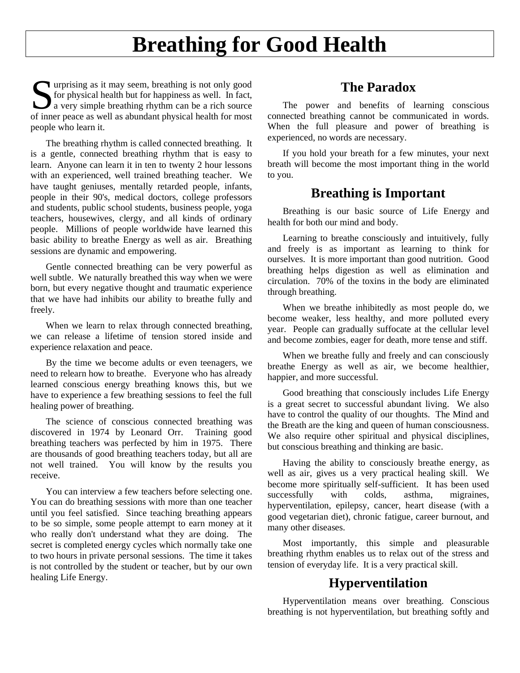# **Breathing for Good Health**

urprising as it may seem, breathing is not only good for physical health but for happiness as well. In fact, Surprising as it may seem, breathing is not only good<br>for physical health but for happiness as well. In fact,<br>a very simple breathing rhythm can be a rich source<br>of inner page as well as abundant physical health for most of inner peace as well as abundant physical health for most people who learn it.

The breathing rhythm is called connected breathing. It is a gentle, connected breathing rhythm that is easy to learn. Anyone can learn it in ten to twenty 2 hour lessons with an experienced, well trained breathing teacher. We have taught geniuses, mentally retarded people, infants, people in their 90's, medical doctors, college professors and students, public school students, business people, yoga teachers, housewives, clergy, and all kinds of ordinary people. Millions of people worldwide have learned this basic ability to breathe Energy as well as air. Breathing sessions are dynamic and empowering.

Gentle connected breathing can be very powerful as well subtle. We naturally breathed this way when we were born, but every negative thought and traumatic experience that we have had inhibits our ability to breathe fully and freely.

When we learn to relax through connected breathing, we can release a lifetime of tension stored inside and experience relaxation and peace.

By the time we become adults or even teenagers, we need to relearn how to breathe. Everyone who has already learned conscious energy breathing knows this, but we have to experience a few breathing sessions to feel the full healing power of breathing.

The science of conscious connected breathing was discovered in 1974 by Leonard Orr. Training good breathing teachers was perfected by him in 1975. There are thousands of good breathing teachers today, but all are not well trained. You will know by the results you receive.

You can interview a few teachers before selecting one. You can do breathing sessions with more than one teacher until you feel satisfied. Since teaching breathing appears to be so simple, some people attempt to earn money at it who really don't understand what they are doing. The secret is completed energy cycles which normally take one to two hours in private personal sessions. The time it takes is not controlled by the student or teacher, but by our own healing Life Energy.

## **The Paradox**

The power and benefits of learning conscious connected breathing cannot be communicated in words. When the full pleasure and power of breathing is experienced, no words are necessary.

If you hold your breath for a few minutes, your next breath will become the most important thing in the world to you.

#### **Breathing is Important**

Breathing is our basic source of Life Energy and health for both our mind and body.

Learning to breathe consciously and intuitively, fully and freely is as important as learning to think for ourselves. It is more important than good nutrition. Good breathing helps digestion as well as elimination and circulation. 70% of the toxins in the body are eliminated through breathing.

When we breathe inhibitedly as most people do, we become weaker, less healthy, and more polluted every year. People can gradually suffocate at the cellular level and become zombies, eager for death, more tense and stiff.

When we breathe fully and freely and can consciously breathe Energy as well as air, we become healthier, happier, and more successful.

Good breathing that consciously includes Life Energy is a great secret to successful abundant living. We also have to control the quality of our thoughts. The Mind and the Breath are the king and queen of human consciousness. We also require other spiritual and physical disciplines, but conscious breathing and thinking are basic.

Having the ability to consciously breathe energy, as well as air, gives us a very practical healing skill. We become more spiritually self-sufficient. It has been used successfully with colds, asthma, migraines, hyperventilation, epilepsy, cancer, heart disease (with a good vegetarian diet), chronic fatigue, career burnout, and many other diseases.

Most importantly, this simple and pleasurable breathing rhythm enables us to relax out of the stress and tension of everyday life. It is a very practical skill.

### **Hyperventilation**

Hyperventilation means over breathing. Conscious breathing is not hyperventilation, but breathing softly and